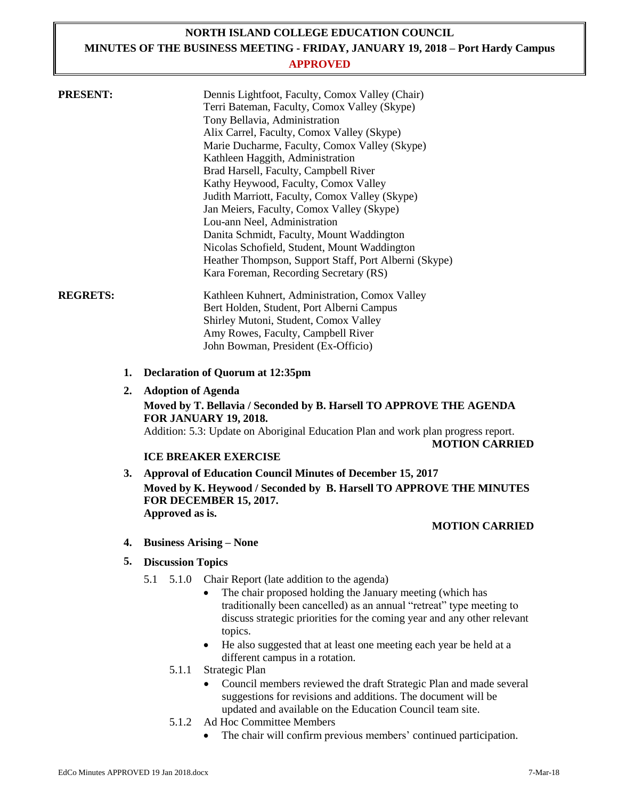## **NORTH ISLAND COLLEGE EDUCATION COUNCIL MINUTES OF THE BUSINESS MEETING - FRIDAY, JANUARY 19, 2018 – Port Hardy Campus APPROVED**

| <b>PRESENT:</b> |    | Dennis Lightfoot, Faculty, Comox Valley (Chair)<br>Terri Bateman, Faculty, Comox Valley (Skype)<br>Tony Bellavia, Administration<br>Alix Carrel, Faculty, Comox Valley (Skype)<br>Marie Ducharme, Faculty, Comox Valley (Skype)<br>Kathleen Haggith, Administration<br>Brad Harsell, Faculty, Campbell River<br>Kathy Heywood, Faculty, Comox Valley |
|-----------------|----|------------------------------------------------------------------------------------------------------------------------------------------------------------------------------------------------------------------------------------------------------------------------------------------------------------------------------------------------------|
|                 |    | Judith Marriott, Faculty, Comox Valley (Skype)<br>Jan Meiers, Faculty, Comox Valley (Skype)<br>Lou-ann Neel, Administration<br>Danita Schmidt, Faculty, Mount Waddington<br>Nicolas Schofield, Student, Mount Waddington<br>Heather Thompson, Support Staff, Port Alberni (Skype)<br>Kara Foreman, Recording Secretary (RS)                          |
| <b>REGRETS:</b> |    | Kathleen Kuhnert, Administration, Comox Valley<br>Bert Holden, Student, Port Alberni Campus<br>Shirley Mutoni, Student, Comox Valley<br>Amy Rowes, Faculty, Campbell River<br>John Bowman, President (Ex-Officio)                                                                                                                                    |
|                 | 1. | <b>Declaration of Quorum at 12:35pm</b>                                                                                                                                                                                                                                                                                                              |

**2. Adoption of Agenda Moved by T. Bellavia / Seconded by B. Harsell TO APPROVE THE AGENDA FOR JANUARY 19, 2018.** Addition: 5.3: Update on Aboriginal Education Plan and work plan progress report. **MOTION CARRIED**

## **ICE BREAKER EXERCISE**

**3. Approval of Education Council Minutes of December 15, 2017 Moved by K. Heywood / Seconded by B. Harsell TO APPROVE THE MINUTES FOR DECEMBER 15, 2017. Approved as is.**

## **MOTION CARRIED**

- **4. Business Arising – None**
- **5. Discussion Topics**
	- 5.1 5.1.0 Chair Report (late addition to the agenda)
		- The chair proposed holding the January meeting (which has traditionally been cancelled) as an annual "retreat" type meeting to discuss strategic priorities for the coming year and any other relevant topics.
		- He also suggested that at least one meeting each year be held at a different campus in a rotation.
		- 5.1.1 Strategic Plan
			- Council members reviewed the draft Strategic Plan and made several suggestions for revisions and additions. The document will be updated and available on the Education Council team site.
		- 5.1.2 Ad Hoc Committee Members
			- The chair will confirm previous members' continued participation.